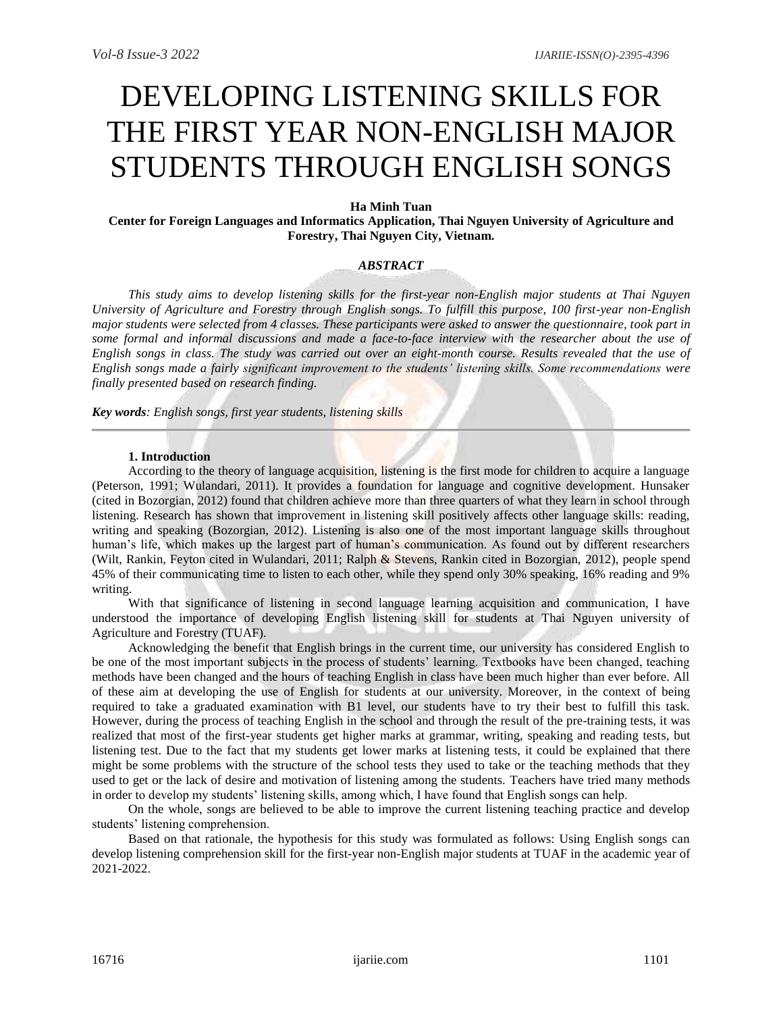# DEVELOPING LISTENING SKILLS FOR THE FIRST YEAR NON-ENGLISH MAJOR STUDENTS THROUGH ENGLISH SONGS

## **Ha Minh Tuan**

**Center for Foreign Languages and Informatics Application, Thai Nguyen University of Agriculture and Forestry, Thai Nguyen City, Vietnam.**

# *ABSTRACT*

*This study aims to develop listening skills for the first-year non-English major students at Thai Nguyen University of Agriculture and Forestry through English songs. To fulfill this purpose, 100 first-year non-English major students were selected from 4 classes. These participants were asked to answer the questionnaire, took part in some formal and informal discussions and made a face-to-face interview with the researcher about the use of English songs in class. The study was carried out over an eight-month course. Results revealed that the use of English songs made a fairly significant improvement to the students' listening skills. Some recommendations were finally presented based on research finding.*

*Key words: English songs, first year students, listening skills*

### **1. Introduction**

According to the theory of language acquisition, listening is the first mode for children to acquire a language (Peterson, 1991; Wulandari, 2011). It provides a foundation for language and cognitive development. Hunsaker (cited in Bozorgian, 2012) found that children achieve more than three quarters of what they learn in school through listening. Research has shown that improvement in listening skill positively affects other language skills: reading, writing and speaking (Bozorgian, 2012). Listening is also one of the most important language skills throughout human's life, which makes up the largest part of human's communication. As found out by different researchers (Wilt, Rankin, Feyton cited in Wulandari, 2011; Ralph & Stevens, Rankin cited in Bozorgian, 2012), people spend 45% of their communicating time to listen to each other, while they spend only 30% speaking, 16% reading and 9% writing.

With that significance of listening in second language learning acquisition and communication, I have understood the importance of developing English listening skill for students at Thai Nguyen university of Agriculture and Forestry (TUAF).

Acknowledging the benefit that English brings in the current time, our university has considered English to be one of the most important subjects in the process of students' learning. Textbooks have been changed, teaching methods have been changed and the hours of teaching English in class have been much higher than ever before. All of these aim at developing the use of English for students at our university. Moreover, in the context of being required to take a graduated examination with B1 level, our students have to try their best to fulfill this task. However, during the process of teaching English in the school and through the result of the pre-training tests, it was realized that most of the first-year students get higher marks at grammar, writing, speaking and reading tests, but listening test. Due to the fact that my students get lower marks at listening tests, it could be explained that there might be some problems with the structure of the school tests they used to take or the teaching methods that they used to get or the lack of desire and motivation of listening among the students. Teachers have tried many methods in order to develop my students' listening skills, among which, I have found that English songs can help.

On the whole, songs are believed to be able to improve the current listening teaching practice and develop students' listening comprehension.

Based on that rationale, the hypothesis for this study was formulated as follows: Using English songs can develop listening comprehension skill for the first-year non-English major students at TUAF in the academic year of 2021-2022.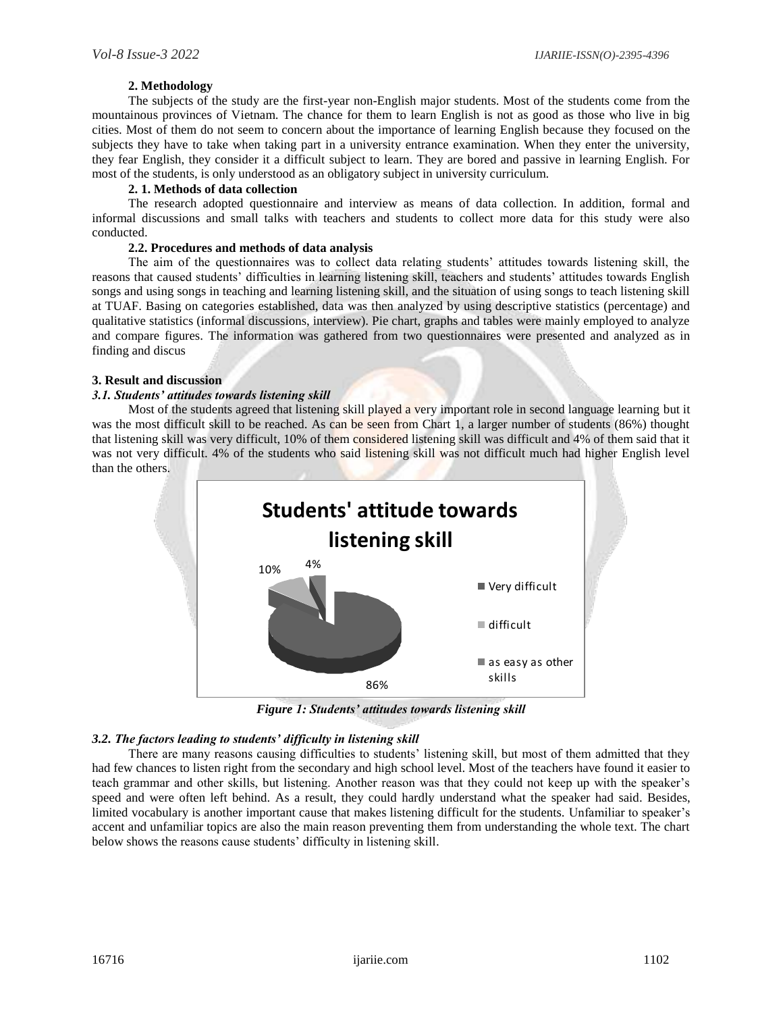## **2. Methodology**

The subjects of the study are the first-year non-English major students. Most of the students come from the mountainous provinces of Vietnam. The chance for them to learn English is not as good as those who live in big cities. Most of them do not seem to concern about the importance of learning English because they focused on the subjects they have to take when taking part in a university entrance examination. When they enter the university, they fear English, they consider it a difficult subject to learn. They are bored and passive in learning English. For most of the students, is only understood as an obligatory subject in university curriculum.

# **2. 1. Methods of data collection**

The research adopted questionnaire and interview as means of data collection. In addition, formal and informal discussions and small talks with teachers and students to collect more data for this study were also conducted.

## **2.2. Procedures and methods of data analysis**

The aim of the questionnaires was to collect data relating students' attitudes towards listening skill, the reasons that caused students' difficulties in learning listening skill, teachers and students' attitudes towards English songs and using songs in teaching and learning listening skill, and the situation of using songs to teach listening skill at TUAF. Basing on categories established, data was then analyzed by using descriptive statistics (percentage) and qualitative statistics (informal discussions, interview). Pie chart, graphs and tables were mainly employed to analyze and compare figures. The information was gathered from two questionnaires were presented and analyzed as in finding and discus

## **3. Result and discussion**

## *3.1. Students' attitudes towards listening skill*

Most of the students agreed that listening skill played a very important role in second language learning but it was the most difficult skill to be reached. As can be seen from Chart 1, a larger number of students (86%) thought that listening skill was very difficult, 10% of them considered listening skill was difficult and 4% of them said that it was not very difficult. 4% of the students who said listening skill was not difficult much had higher English level than the others.



*Figure 1: Students' attitudes towards listening skill*

### *3.2. The factors leading to students' difficulty in listening skill*

There are many reasons causing difficulties to students' listening skill, but most of them admitted that they had few chances to listen right from the secondary and high school level. Most of the teachers have found it easier to teach grammar and other skills, but listening. Another reason was that they could not keep up with the speaker's speed and were often left behind. As a result, they could hardly understand what the speaker had said. Besides, limited vocabulary is another important cause that makes listening difficult for the students. Unfamiliar to speaker's accent and unfamiliar topics are also the main reason preventing them from understanding the whole text. The chart below shows the reasons cause students' difficulty in listening skill.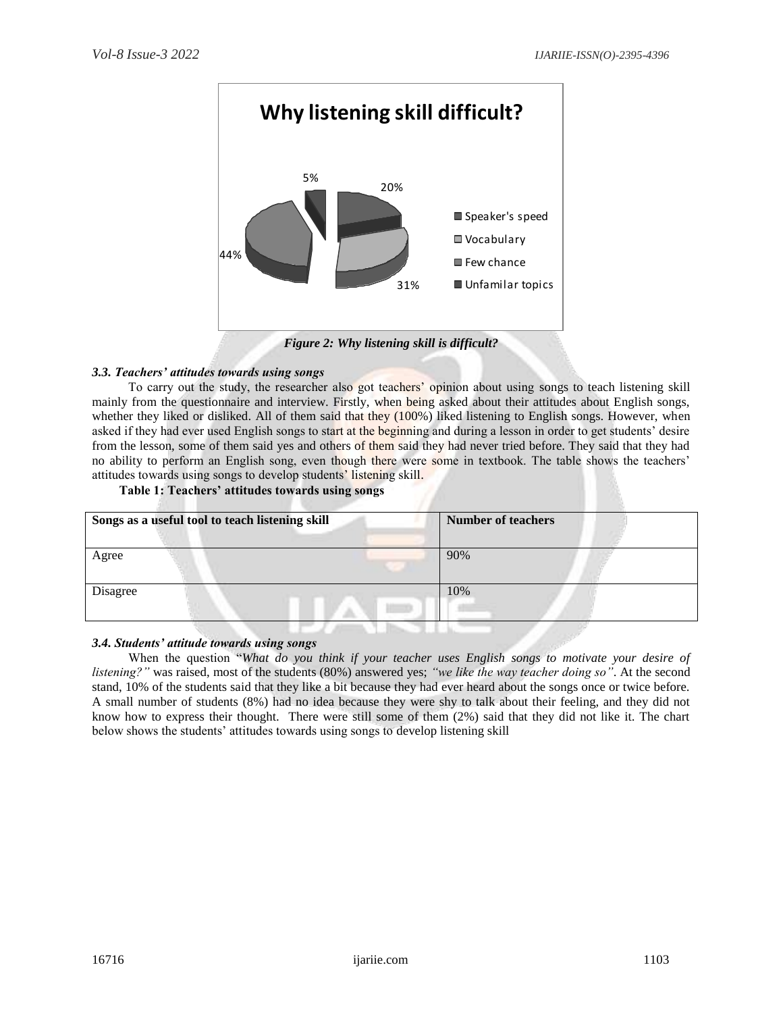

*Figure 2: Why listening skill is difficult?*

# *3.3. Teachers' attitudes towards using songs*

To carry out the study, the researcher also got teachers' opinion about using songs to teach listening skill mainly from the questionnaire and interview. Firstly, when being asked about their attitudes about English songs, whether they liked or disliked. All of them said that they (100%) liked listening to English songs. However, when asked if they had ever used English songs to start at the beginning and during a lesson in order to get students' desire from the lesson, some of them said yes and others of them said they had never tried before. They said that they had no ability to perform an English song, even though there were some in textbook. The table shows the teachers' attitudes towards using songs to develop students' listening skill.

## **Table 1: Teachers' attitudes towards using songs**

| Songs as a useful tool to teach listening skill | <b>Number of teachers</b> |
|-------------------------------------------------|---------------------------|
| Agree                                           | 90%                       |
| Disagree                                        | 10%                       |

### *3.4. Students' attitude towards using songs*

When the question "*What do you think if your teacher uses English songs to motivate your desire of listening?"* was raised, most of the students (80%) answered yes; *"we like the way teacher doing so"*. At the second stand, 10% of the students said that they like a bit because they had ever heard about the songs once or twice before. A small number of students (8%) had no idea because they were shy to talk about their feeling, and they did not know how to express their thought. There were still some of them (2%) said that they did not like it. The chart below shows the students' attitudes towards using songs to develop listening skill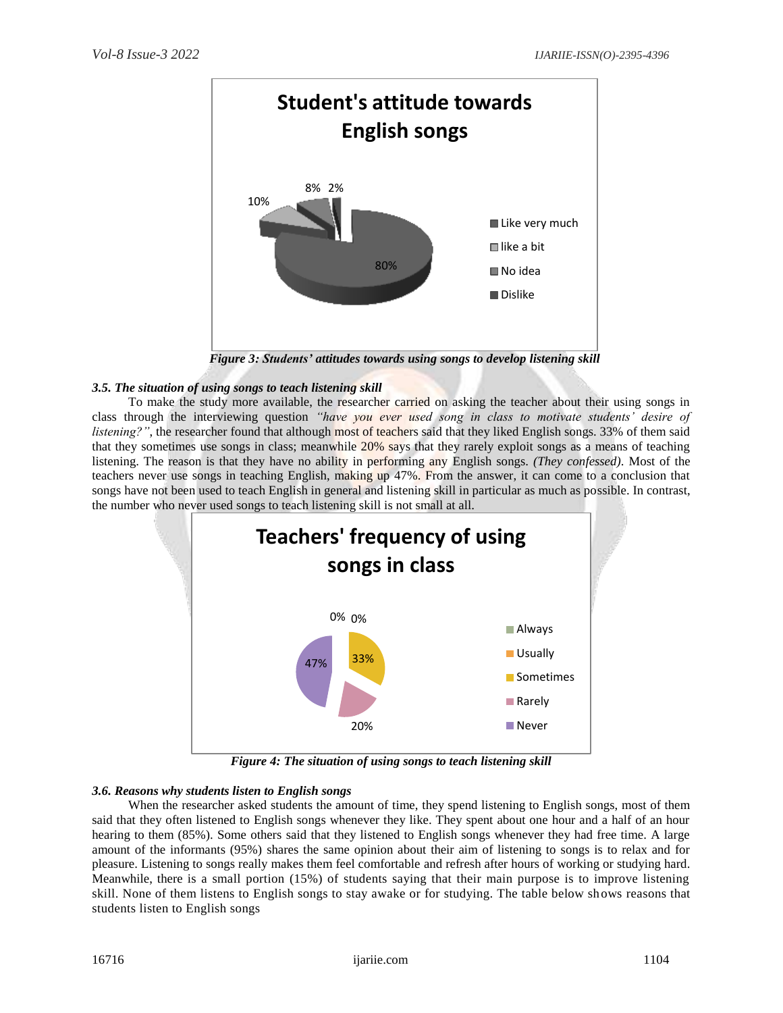

*Figure 3: Students' attitudes towards using songs to develop listening skill*

## *3.5. The situation of using songs to teach listening skill*

To make the study more available, the researcher carried on asking the teacher about their using songs in class through the interviewing question *"have you ever used song in class to motivate students' desire of listening?"*, the researcher found that although most of teachers said that they liked English songs. 33% of them said that they sometimes use songs in class; meanwhile 20% says that they rarely exploit songs as a means of teaching listening. The reason is that they have no ability in performing any English songs. *(They confessed)*. Most of the teachers never use songs in teaching English, making up 47%. From the answer, it can come to a conclusion that songs have not been used to teach English in general and listening skill in particular as much as possible. In contrast, the number who never used songs to teach listening skill is not small at all.



*Figure 4: The situation of using songs to teach listening skill*

### *3.6. Reasons why students listen to English songs*

When the researcher asked students the amount of time, they spend listening to English songs, most of them said that they often listened to English songs whenever they like. They spent about one hour and a half of an hour hearing to them (85%). Some others said that they listened to English songs whenever they had free time. A large amount of the informants (95%) shares the same opinion about their aim of listening to songs is to relax and for pleasure. Listening to songs really makes them feel comfortable and refresh after hours of working or studying hard. Meanwhile, there is a small portion (15%) of students saying that their main purpose is to improve listening skill. None of them listens to English songs to stay awake or for studying. The table below shows reasons that students listen to English songs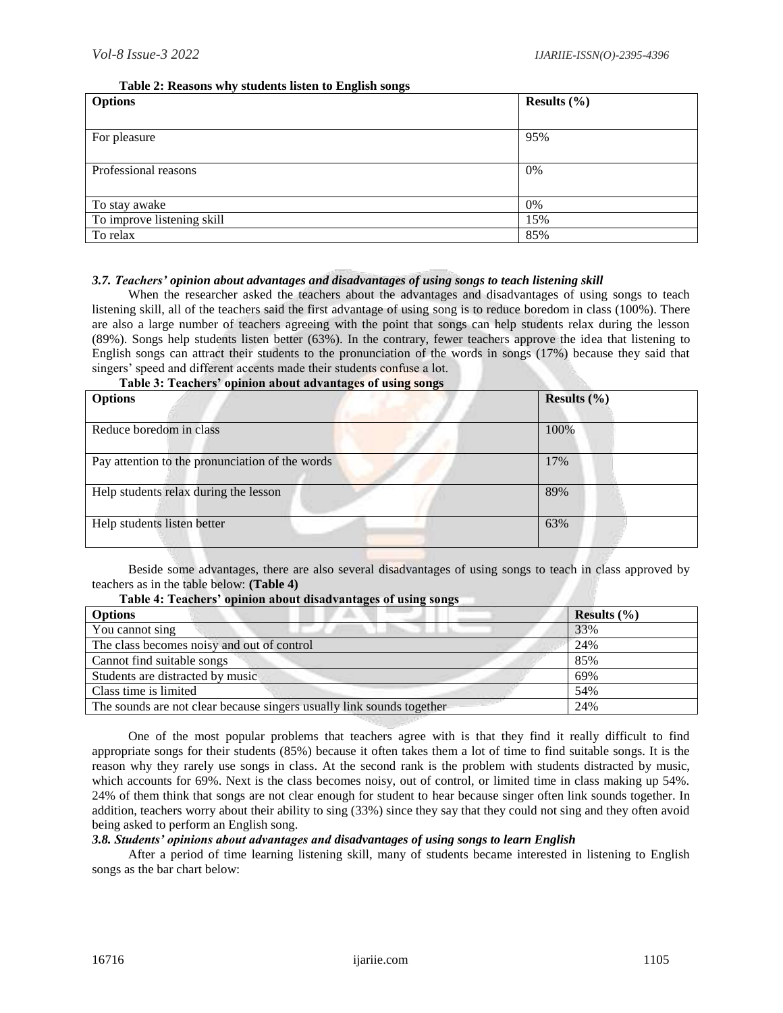## **Table 2: Reasons why students listen to English songs**

| <b>Options</b>             | Results $(\% )$ |
|----------------------------|-----------------|
|                            |                 |
| For pleasure               | 95%             |
|                            |                 |
| Professional reasons       | 0%              |
|                            |                 |
| To stay awake              | 0%              |
| To improve listening skill | 15%             |
| To relax                   | 85%             |

# *3.7. Teachers' opinion about advantages and disadvantages of using songs to teach listening skill*

When the researcher asked the teachers about the advantages and disadvantages of using songs to teach listening skill, all of the teachers said the first advantage of using song is to reduce boredom in class (100%). There are also a large number of teachers agreeing with the point that songs can help students relax during the lesson (89%). Songs help students listen better (63%). In the contrary, fewer teachers approve the idea that listening to English songs can attract their students to the pronunciation of the words in songs (17%) because they said that singers' speed and different accents made their students confuse a lot.

|  | Table 3: Teachers' opinion about advantages of using songs |
|--|------------------------------------------------------------|
|--|------------------------------------------------------------|

| <b>Options</b>                                  | Results $(\% )$ |
|-------------------------------------------------|-----------------|
| Reduce boredom in class                         | 100%            |
| Pay attention to the pronunciation of the words | 17%             |
| Help students relax during the lesson           | 89%             |
| Help students listen better                     | 63%             |

Beside some advantages, there are also several disadvantages of using songs to teach in class approved by teachers as in the table below: **(Table 4)**

### **Table 4: Teachers' opinion about disadvantages of using songs**

| <b>Options</b>                                                        | Results $(\% )$ |
|-----------------------------------------------------------------------|-----------------|
| You cannot sing                                                       | 33%             |
| The class becomes noisy and out of control                            | 24%             |
| Cannot find suitable songs                                            | 85%             |
| Students are distracted by music                                      | 69%             |
| Class time is limited                                                 | 54%             |
| The sounds are not clear because singers usually link sounds together | 24%             |

One of the most popular problems that teachers agree with is that they find it really difficult to find appropriate songs for their students (85%) because it often takes them a lot of time to find suitable songs. It is the reason why they rarely use songs in class. At the second rank is the problem with students distracted by music, which accounts for 69%. Next is the class becomes noisy, out of control, or limited time in class making up 54%. 24% of them think that songs are not clear enough for student to hear because singer often link sounds together. In addition, teachers worry about their ability to sing (33%) since they say that they could not sing and they often avoid being asked to perform an English song.

# *3.8. Students' opinions about advantages and disadvantages of using songs to learn English*

After a period of time learning listening skill, many of students became interested in listening to English songs as the bar chart below: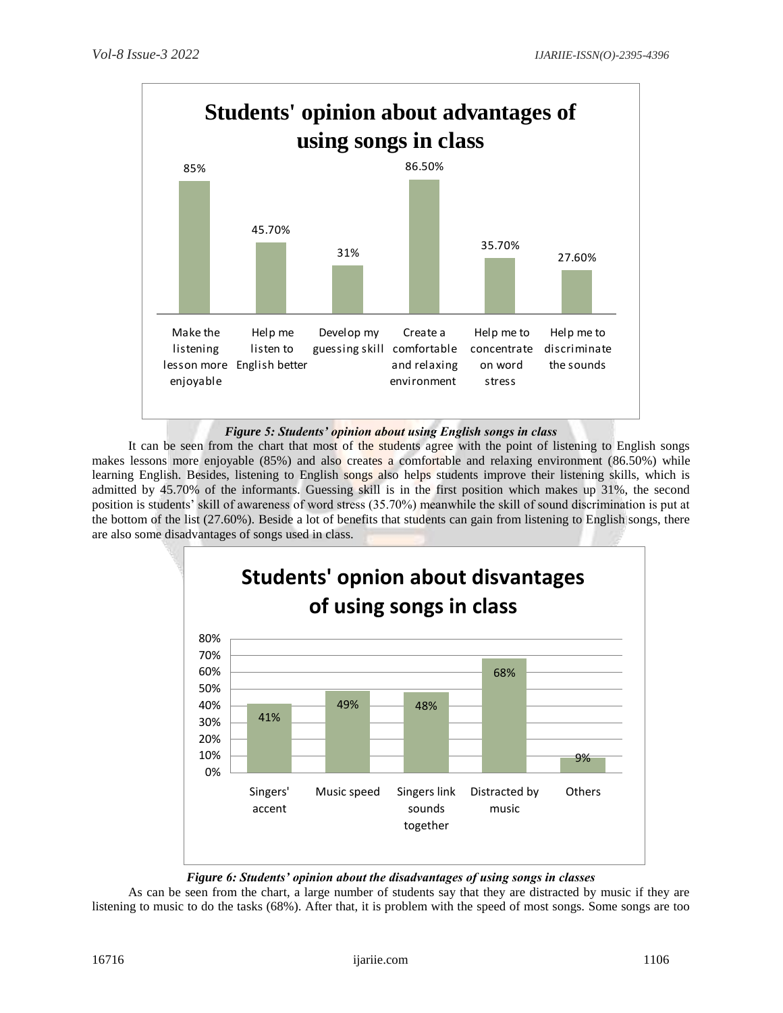

# *Figure 5: Students' opinion about using English songs in class*

It can be seen from the chart that most of the students agree with the point of listening to English songs makes lessons more enjoyable (85%) and also creates a comfortable and relaxing environment (86.50%) while learning English. Besides, listening to English songs also helps students improve their listening skills, which is admitted by 45.70% of the informants. Guessing skill is in the first position which makes up 31%, the second position is students' skill of awareness of word stress (35.70%) meanwhile the skill of sound discrimination is put at the bottom of the list (27.60%). Beside a lot of benefits that students can gain from listening to English songs, there are also some disadvantages of songs used in class.



# *Figure 6: Students' opinion about the disadvantages of using songs in classes*

As can be seen from the chart, a large number of students say that they are distracted by music if they are listening to music to do the tasks (68%). After that, it is problem with the speed of most songs. Some songs are too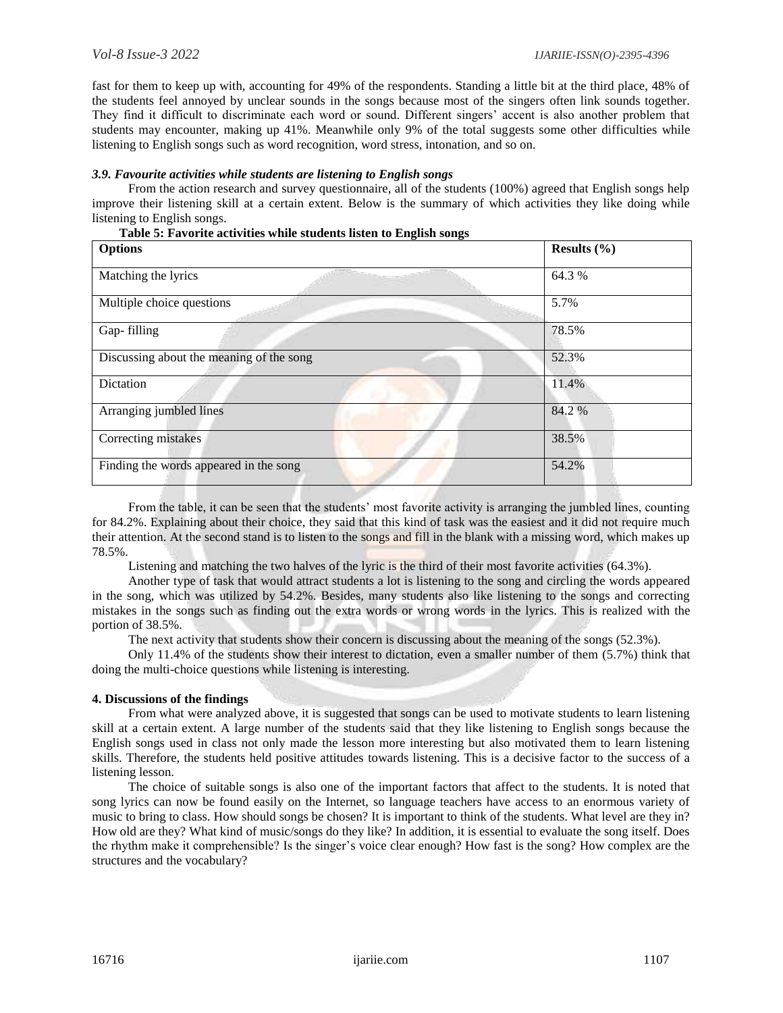fast for them to keep up with, accounting for 49% of the respondents. Standing a little bit at the third place, 48% of the students feel annoyed by unclear sounds in the songs because most of the singers often link sounds together. They find it difficult to discriminate each word or sound. Different singers' accent is also another problem that students may encounter, making up 41%. Meanwhile only 9% of the total suggests some other difficulties while listening to English songs such as word recognition, word stress, intonation, and so on.

## *3.9. Favourite activities while students are listening to English songs*

From the action research and survey questionnaire, all of the students (100%) agreed that English songs help improve their listening skill at a certain extent. Below is the summary of which activities they like doing while listening to English songs.

|  |  |  | Table 5: Favorite activities while students listen to English songs |
|--|--|--|---------------------------------------------------------------------|
|--|--|--|---------------------------------------------------------------------|

| <b>Options</b>                           | Results $(\% )$ |
|------------------------------------------|-----------------|
| Matching the lyrics                      | 64.3 %          |
| Multiple choice questions                | 5.7%            |
| Gap-filling                              | 78.5%           |
| Discussing about the meaning of the song | 52.3%           |
| Dictation                                | 11.4%           |
| Arranging jumbled lines                  | 84.2%           |
| Correcting mistakes                      | 38.5%           |
| Finding the words appeared in the song   | 54.2%           |

From the table, it can be seen that the students' most favorite activity is arranging the jumbled lines, counting for 84.2%. Explaining about their choice, they said that this kind of task was the easiest and it did not require much their attention. At the second stand is to listen to the songs and fill in the blank with a missing word, which makes up 78.5%.

Listening and matching the two halves of the lyric is the third of their most favorite activities (64.3%).

Another type of task that would attract students a lot is listening to the song and circling the words appeared in the song, which was utilized by 54.2%. Besides, many students also like listening to the songs and correcting mistakes in the songs such as finding out the extra words or wrong words in the lyrics. This is realized with the portion of 38.5%.

The next activity that students show their concern is discussing about the meaning of the songs (52.3%).

Only 11.4% of the students show their interest to dictation, even a smaller number of them (5.7%) think that doing the multi-choice questions while listening is interesting.

### **4. Discussions of the findings**

From what were analyzed above, it is suggested that songs can be used to motivate students to learn listening skill at a certain extent. A large number of the students said that they like listening to English songs because the English songs used in class not only made the lesson more interesting but also motivated them to learn listening skills. Therefore, the students held positive attitudes towards listening. This is a decisive factor to the success of a listening lesson.

The choice of suitable songs is also one of the important factors that affect to the students. It is noted that song lyrics can now be found easily on the Internet, so language teachers have access to an enormous variety of music to bring to class. How should songs be chosen? It is important to think of the students. What level are they in? How old are they? What kind of music/songs do they like? In addition, it is essential to evaluate the song itself. Does the rhythm make it comprehensible? Is the singer's voice clear enough? How fast is the song? How complex are the structures and the vocabulary?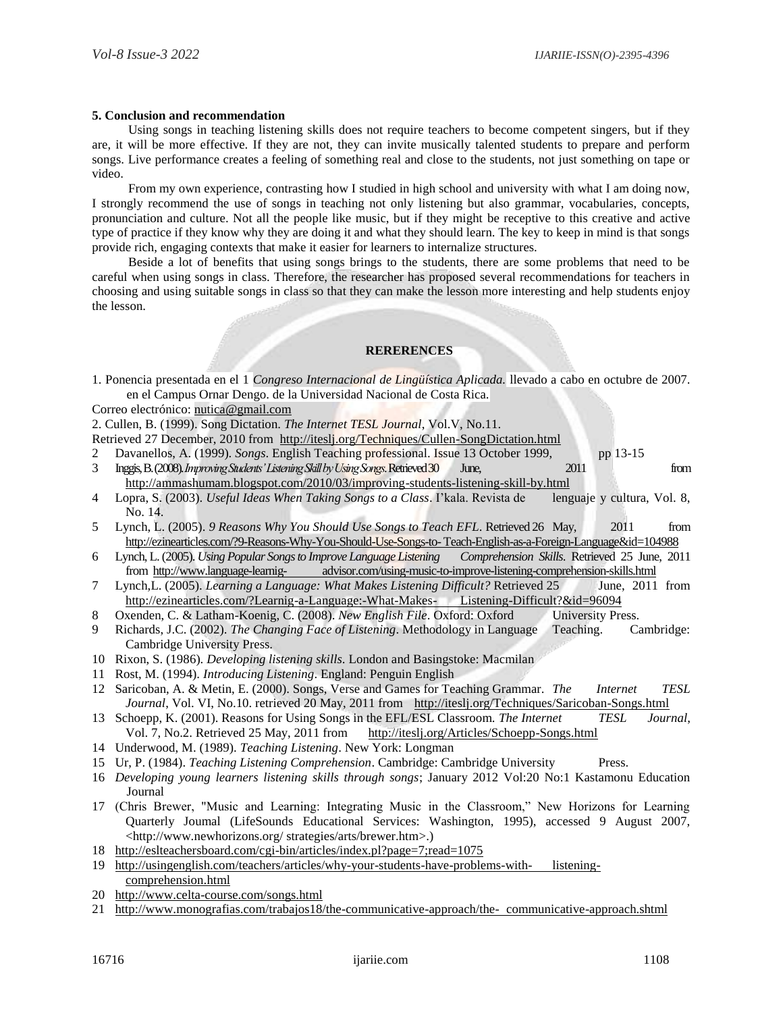#### **5. Conclusion and recommendation**

Using songs in teaching listening skills does not require teachers to become competent singers, but if they are, it will be more effective. If they are not, they can invite musically talented students to prepare and perform songs. Live performance creates a feeling of something real and close to the students, not just something on tape or video.

From my own experience, contrasting how I studied in high school and university with what I am doing now, I strongly recommend the use of songs in teaching not only listening but also grammar, vocabularies, concepts, pronunciation and culture. Not all the people like music, but if they might be receptive to this creative and active type of practice if they know why they are doing it and what they should learn. The key to keep in mind is that songs provide rich, engaging contexts that make it easier for learners to internalize structures.

Beside a lot of benefits that using songs brings to the students, there are some problems that need to be careful when using songs in class. Therefore, the researcher has proposed several recommendations for teachers in choosing and using suitable songs in class so that they can make the lesson more interesting and help students enjoy the lesson.

### **RERERENCES**

1. Ponencia presentada en el 1 *Congreso Internacional de Lingüística Aplicada.* llevado a cabo en octubre de 2007. en el Campus Ornar Dengo. de la Universidad Nacional de Costa Rica.

Correo electrónico: [nutica@gmail.com](mailto:nutica@gmail.com)

2. Cullen, B. (1999). Song Dictation. *The Internet TESL Journal*, Vol.V, No.11.

- Retrieved 27 December, 2010 from <http://iteslj.org/Techniques/Cullen-SongDictation.html>
- 2 Davanellos, A. (1999). *Songs*. English Teaching professional. Issue 13 October 1999, pp 13-15 3 Inggis, B. (2008). *Improving Students' Listening Skill by Using Songs*. Retrieved 30 June, 2011 from
- <http://ammashumam.blogspot.com/2010/03/improving-students-listening-skill-by.html> 4 Lopra, S. (2003). *Useful Ideas When Taking Songs to a Class*. I'kala. Revista de lenguaje y cultura, Vol. 8, No. 14.
- 5 Lynch, L. (2005). *9 Reasons Why You Should Use Songs to Teach EFL*. Retrieved 26 May, 2011 from [http://ezinearticles.com/?9-Reasons-Why-You-Should-Use-Songs-to-Teach-English-as-a-Foreign-Language&id=104988](http://ezinearticles.com/?9-Reasons-Why-You-Should-Use-Songs-to-%20Teach-English-as-a-Foreign-Language&id=104988)
- 6 Lynch, L. (2005). *Using Popular Songs to Improve Language Listening Comprehension Skills*. Retrieved 25 June, 2011 from http://www.language-learnig- [advisor.com/using-music-to-improve-listening-comprehension-skills.html](http://www.language-learnig-advisor.com/using-music-to-improve-listening-comprehension-skills.html)
- 7 Lynch,L. (2005). *Learning a Language: What Makes Listening Difficult?* Retrieved 25 June, 2011 from [http://ezinearticles.com/?Learnig-a-Language:-What-Makes-](http://ezinearticles.com/?Learnig-a-Language:-What-Makes-Listening-Difficult?&id=96094) Listening-Difficult?&id=96094
- 8 Oxenden, C. & Latham-Koenig, C. (2008). *New English File*. Oxford: Oxford University Press.
- 9 Richards, J.C. (2002). *The Changing Face of Listening*. Methodology in Language Teaching. Cambridge: Cambridge University Press.
- 10 Rixon, S. (1986). *Developing listening skills*. London and Basingstoke: Macmilan
- 11 Rost, M. (1994). *Introducing Listening*. England: Penguin English
- 12 Saricoban, A. & Metin, E. (2000). Songs, Verse and Games for Teaching Grammar. *The Internet TESL*  Journal, Vol. VI, No.10. retrieved 20 May, 2011 from <http://iteslj.org/Techniques/Saricoban-Songs.html>
- 13 Schoepp, K. (2001). Reasons for Using Songs in the EFL/ESL Classroom. *The Internet TESL Journal*, Vol. 7, No.2. Retrieved 25 May, 2011 from <http://iteslj.org/Articles/Schoepp-Songs.html>
- 14 Underwood, M. (1989). *Teaching Listening*. New York: Longman
- 15 Ur, P. (1984). *Teaching Listening Comprehension*. Cambridge: Cambridge University Press.
- 16 *Developing young learners listening skills through songs*; January 2012 Vol:20 No:1 Kastamonu Education Journal
- 17 (Chris Brewer, "Music and Learning: Integrating Music in the Classroom," New Horizons for Learning Quarterly Joumal (LifeSounds Educational Services: Washington, 1995), accessed 9 August 2007, [<http://www.newhorizons.org/ strategies/arts/brewer.htm>](http://www.newhorizons.org/%20strategies/arts/brewer.htm).)
- 18 <http://eslteachersboard.com/cgi-bin/articles/index.pl?page=7;read=1075>
- 19 [http://usingenglish.com/teachers/articles/why-your-students-have-problems-with-](http://usingenglish.com/teachers/articles/why-your-students-have-problems-with-listening-comprehension.html) listening[comprehension.html](http://usingenglish.com/teachers/articles/why-your-students-have-problems-with-listening-comprehension.html)
- 20 <http://www.celta-course.com/songs.html>
- 21 [http://www.monografias.com/trabajos18/the-communicative-approach/the-](http://www.monografias.com/trabajos18/the-communicative-approach/the-communicative-approach.shtml) communicative-approach.shtml